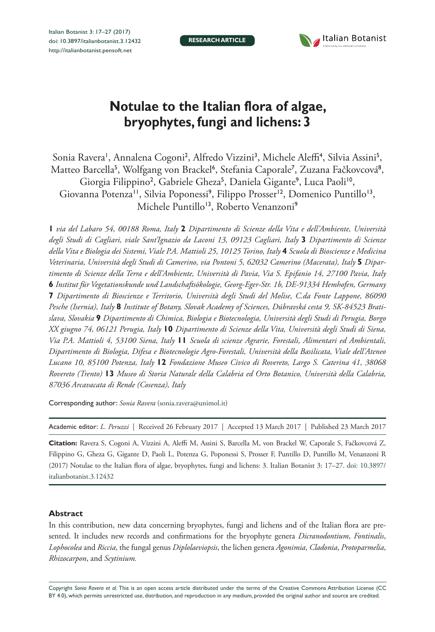**RESEARCH ARTICLE**



# **Notulae to the Italian flora of algae, bryophytes, fungi and lichens: 3**

Sonia Ravera', Annalena Cogoni<sup>2</sup>, Alfredo Vizzini<sup>3</sup>, Michele Aleffi<sup>4</sup>, Silvia Assini<sup>5</sup>, Matteo Barcella<sup>5</sup>, Wolfgang von Brackel<sup>6</sup>, Stefania Caporale<sup>7</sup>, Zuzana Fačkovcová<sup>8</sup>, Giorgia Filippino<sup>2</sup>, Gabriele Gheza<sup>5</sup>, Daniela Gigante<sup>9</sup>, Luca Paoli<sup>10</sup>, Giovanna Potenza<sup>11</sup>, Silvia Poponessi<sup>9</sup>, Filippo Prosser<sup>12</sup>, Domenico Puntillo<sup>13</sup>, Michele Puntillo<sup>13</sup>, Roberto Venanzoni<sup>9</sup>

**1** *via del Labaro 54, 00188 Roma, Italy* **2** *Dipartimento di Scienze della Vita e dell'Ambiente, Università degli Studi di Cagliari, viale Sant'Ignazio da Laconi 13, 09123 Cagliari, Italy* **3** *Dipartimento di Scienze della Vita e Biologia dei Sistemi, Viale P.A. Mattioli 25, 10125 Torino, Italy* **4** *Scuola di Bioscienze e Medicina Veterinaria, Università degli Studi di Camerino, via Pontoni 5, 62032 Camerino (Macerata), Italy* **5** *Dipartimento di Scienze della Terra e dell'Ambiente, Università di Pavia, Via S. Epifanio 14, 27100 Pavia, Italy*  **6** *Institut für Vegetationskunde und Landschaftsökologie, Georg-Eger-Str. 1b, DE-91334 Hemhofen, Germany*  **7** *Dipartimento di Bioscienze e Territorio, Università degli Studi del Molise, C.da Fonte Lappone, 86090 Pesche (Isernia), Italy* **8** *Institute of Botany, Slovak Academy of Sciences, Dúbravská cesta 9, SK-84523 Bratislava, Slovakia* **9** *Dipartimento di Chimica, Biologia e Biotecnologia, Università degli Studi di Perugia, Borgo XX giugno 74, 06121 Perugia, Italy* **10** *Dipartimento di Scienze della Vita, Università degli Studi di Siena, Via P.A. Mattioli 4, 53100 Siena, Italy* **11** *Scuola di scienze Agrarie, Forestali, Alimentari ed Ambientali, Dipartimento di Biologia, Difesa e Biotecnologie Agro-Forestali, Università della Basilicata, Viale dell'Ateneo Lucano 10, 85100 Potenza, Italy* **12** *Fondazione Museo Civico di Rovereto, Largo S. Caterina 41, 38068 Rovereto (Trento)* **13** *Museo di Storia Naturale della Calabria ed Orto Botanico, Università della Calabria, 87036 Arcavacata di Rende (Cosenza), Italy*

Corresponding author: *Sonia Ravera* ([sonia.ravera@unimol.it](mailto:sonia.ravera@unimol.it))

| Academic editor: L. Peruzzi   Received 26 February 2017   Accepted 13 March 2017   Published 23 March 2017 |  |  |  |
|------------------------------------------------------------------------------------------------------------|--|--|--|
|------------------------------------------------------------------------------------------------------------|--|--|--|

**Citation:** Ravera S, Cogoni A, Vizzini A, Aleffi M, Assini S, Barcella M, von Brackel W, Caporale S, Fačkovcová Z, Filippino G, Gheza G, Gigante D, Paoli L, Potenza G, Poponessi S, Prosser F, Puntillo D, Puntillo M, Venanzoni R (2017) Notulae to the Italian flora of algae, bryophytes, fungi and lichens: 3. Italian Botanist 3: 17–27. [doi: 10.3897/](https://doi.org/10.3897/italianbotanist.3.12432) [italianbotanist.3.12432](https://doi.org/10.3897/italianbotanist.3.12432)

# **Abstract**

In this contribution, new data concerning bryophytes, fungi and lichens and of the Italian flora are presented. It includes new records and confirmations for the bryophyte genera *Dicranodontium*, *Fontinalis*, *Lophocolea* and *Riccia*, the fungal genus *Diplolaeviopsis*, the lichen genera *Agonimia*, *Cladonia*, *Protoparmelia*, *Rhizocarpon*, and *Scytinium.*

Copyright *Sonia Ravera et al.* This is an open access article distributed under the terms of the [Creative Commons Attribution License \(CC](http://creativecommons.org/licenses/by/4.0/)  [BY 4.0\)](http://creativecommons.org/licenses/by/4.0/), which permits unrestricted use, distribution, and reproduction in any medium, provided the original author and source are credited.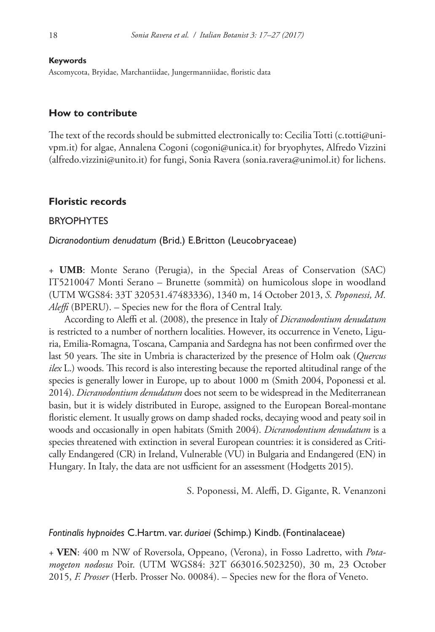**Keywords**

Ascomycota, Bryidae, Marchantiidae, Jungermanniidae, floristic data

# **How to contribute**

The text of the records should be submitted electronically to: Cecilia Totti ([c.totti@uni](mailto:c.totti@univpm.it)[vpm.it](mailto:c.totti@univpm.it)) for algae, Annalena Cogoni ([cogoni@unica.it\)](mailto:cogoni@unica.it) for bryophytes, Alfredo Vizzini ([alfredo.vizzini@unito.it](mailto:alfredo.vizzini@unito.it)) for fungi, Sonia Ravera [\(sonia.ravera@unimol.it\)](mailto:sonia.ravera@unimol.it) for lichens.

#### **Floristic records**

# **BRYOPHYTES**

*Dicranodontium denudatum* (Brid.) E.Britton (Leucobryaceae)

+ **UMB**: Monte Serano (Perugia), in the Special Areas of Conservation (SAC) IT5210047 Monti Serano – Brunette (sommità) on humicolous slope in woodland (UTM WGS84: 33T 320531.47483336), 1340 m, 14 October 2013, *S. Poponessi, M. Aleffi* (BPERU). – Species new for the flora of Central Italy.

According to Aleffi et al. (2008), the presence in Italy of *Dicranodontium denudatum* is restricted to a number of northern localities. However, its occurrence in Veneto, Liguria, Emilia-Romagna, Toscana, Campania and Sardegna has not been confirmed over the last 50 years. The site in Umbria is characterized by the presence of Holm oak (*Quercus ilex* L.) woods. This record is also interesting because the reported altitudinal range of the species is generally lower in Europe, up to about 1000 m (Smith 2004, Poponessi et al. 2014). *Dicranodontium denudatum* does not seem to be widespread in the Mediterranean basin, but it is widely distributed in Europe, assigned to the European Boreal-montane floristic element. It usually grows on damp shaded rocks, decaying wood and peaty soil in woods and occasionally in open habitats (Smith 2004). *Dicranodontium denudatum* is a species threatened with extinction in several European countries: it is considered as Critically Endangered (CR) in Ireland, Vulnerable (VU) in Bulgaria and Endangered (EN) in Hungary. In Italy, the data are not usfficient for an assessment (Hodgetts 2015).

S. Poponessi, M. Aleffi, D. Gigante, R. Venanzoni

#### *Fontinalis hypnoides* C.Hartm. var. *duriaei* (Schimp.) Kindb. (Fontinalaceae)

+ **VEN**: 400 m NW of Roversola, Oppeano, (Verona), in Fosso Ladretto, with *Potamogeton nodosus* Poir. (UTM WGS84: 32T 663016.5023250), 30 m, 23 October 2015, *F. Prosser* (Herb. Prosser No. 00084). – Species new for the flora of Veneto.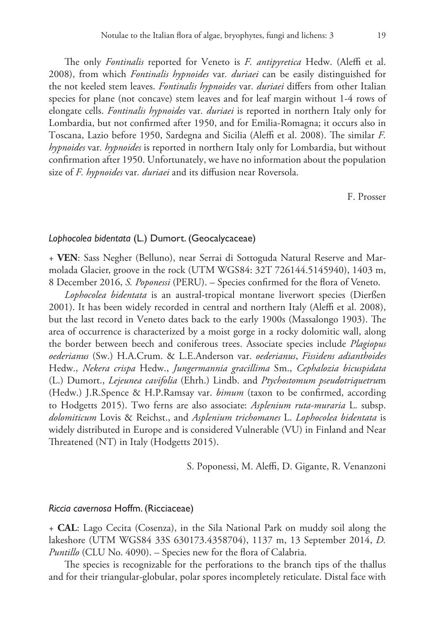The only *Fontinalis* reported for Veneto is *F. antipyretica* Hedw. (Aleffi et al. 2008), from which *Fontinalis hypnoides* var*. duriaei* can be easily distinguished for the not keeled stem leaves. *Fontinalis hypnoides* var*. duriaei* differs from other Italian species for plane (not concave) stem leaves and for leaf margin without 1-4 rows of elongate cells. *Fontinalis hypnoides* var*. duriaei* is reported in northern Italy only for Lombardia, but not confirmed after 1950, and for Emilia-Romagna; it occurs also in Toscana, Lazio before 1950, Sardegna and Sicilia (Aleffi et al. 2008). The similar *F. hypnoides* var*. hypnoides* is reported in northern Italy only for Lombardia, but without confirmation after 1950. Unfortunately, we have no information about the population size of *F. hypnoides* var*. duriaei* and its diffusion near Roversola.

F. Prosser

#### *Lophocolea bidentata* (L.) Dumort. (Geocalycaceae)

+ **VEN**: Sass Negher (Belluno), near Serrai di Sottoguda Natural Reserve and Marmolada Glacier, groove in the rock (UTM WGS84: 32T 726144.5145940), 1403 m, 8 December 2016, *S. Poponessi* (PERU). – Species confirmed for the flora of Veneto.

*Lophocolea bidentata* is an austral-tropical montane liverwort species (Dierßen 2001). It has been widely recorded in central and northern Italy (Aleffi et al. 2008), but the last record in Veneto dates back to the early 1900s (Massalongo 1903). The area of occurrence is characterized by a moist gorge in a rocky dolomitic wall, along the border between beech and coniferous trees. Associate species include *Plagiopus oederianus* (Sw.) H.A.Crum. & L.E.Anderson var. *oederianus*, *Fissidens adianthoides* Hedw., *Nekera crispa* Hedw., *Jungermannia gracillima* Sm., *Cephalozia bicuspidata* (L.) Dumort., *Lejeunea cavifolia* (Ehrh.) Lindb. and *Ptychostomum pseudotriquetru*m (Hedw.) J.R.Spence & H.P.Ramsay var. *bimum* (taxon to be confirmed, according to Hodgetts 2015). Two ferns are also associate: *Asplenium ruta-muraria* L. subsp. *dolomiticum* Lovis & Reichst., and *Asplenium trichomanes* L. *Lophocolea bidentata* is widely distributed in Europe and is considered Vulnerable (VU) in Finland and Near Threatened (NT) in Italy (Hodgetts 2015).

S. Poponessi, M. Aleffi, D. Gigante, R. Venanzoni

#### *Riccia cavernosa* Hoffm. (Ricciaceae)

+ **CAL**: Lago Cecita (Cosenza), in the Sila National Park on muddy soil along the lakeshore (UTM WGS84 33S 630173.4358704), 1137 m, 13 September 2014, *D. Puntillo* (CLU No. 4090). – Species new for the flora of Calabria.

The species is recognizable for the perforations to the branch tips of the thallus and for their triangular-globular, polar spores incompletely reticulate. Distal face with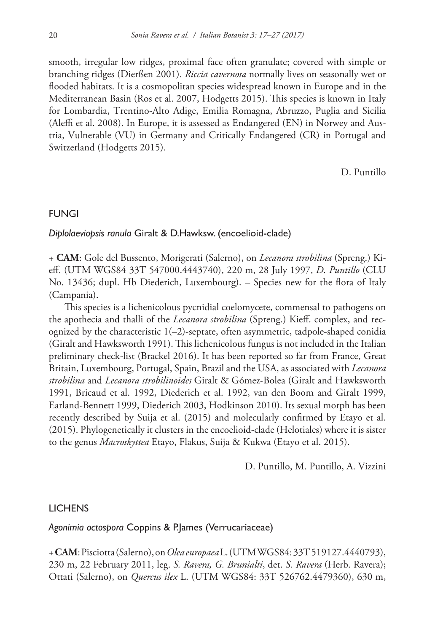smooth, irregular low ridges, proximal face often granulate; covered with simple or branching ridges (Dierßen 2001). *Riccia cavernosa* normally lives on seasonally wet or flooded habitats. It is a cosmopolitan species widespread known in Europe and in the Mediterranean Basin (Ros et al. 2007, Hodgetts 2015). This species is known in Italy for Lombardia, Trentino-Alto Adige, Emilia Romagna, Abruzzo, Puglia and Sicilia (Aleffi et al. 2008). In Europe, it is assessed as Endangered (EN) in Norwey and Austria, Vulnerable (VU) in Germany and Critically Endangered (CR) in Portugal and Switzerland (Hodgetts 2015).

D. Puntillo

# FUNGI

*Diplolaeviopsis ranula* Giralt & D.Hawksw. (encoelioid-clade)

+ **CAM**: Gole del Bussento, Morigerati (Salerno), on *Lecanora strobilina* (Spreng.) Kieff. (UTM WGS84 33T 547000.4443740), 220 m, 28 July 1997, *D. Puntillo* (CLU No. 13436; dupl. Hb Diederich, Luxembourg). – Species new for the flora of Italy (Campania).

This species is a lichenicolous pycnidial coelomycete, commensal to pathogens on the apothecia and thalli of the *Lecanora strobilina* (Spreng.) Kieff. complex, and recognized by the characteristic  $1(-2)$ -septate, often asymmetric, tadpole-shaped conidia (Giralt and Hawksworth 1991). This lichenicolous fungus is not included in the Italian preliminary check-list (Brackel 2016). It has been reported so far from France, Great Britain, Luxembourg, Portugal, Spain, Brazil and the USA, as associated with *Lecanora strobilina* and *Lecanora strobilinoides* Giralt & Gómez-Bolea (Giralt and Hawksworth 1991, Bricaud et al. 1992, Diederich et al. 1992, van den Boom and Giralt 1999, Earland-Bennett 1999, Diederich 2003, Hodkinson 2010). Its sexual morph has been recently described by Suija et al. (2015) and molecularly confirmed by Etayo et al. (2015). Phylogenetically it clusters in the encoelioid-clade (Helotiales) where it is sister to the genus *Macroskyttea* Etayo, Flakus, Suija & Kukwa (Etayo et al. 2015).

D. Puntillo, M. Puntillo, A. Vizzini

# **LICHENS**

# *Agonimia octospora* Coppins & P.James (Verrucariaceae)

+ **CAM**: Pisciotta (Salerno), on *Olea europaea* L. (UTM WGS84: 33T 519127.4440793), 230 m, 22 February 2011, leg. *S. Ravera, G. Brunialti*, det. *S. Ravera* (Herb. Ravera); Ottati (Salerno), on *Quercus ilex* L. (UTM WGS84: 33T 526762.4479360), 630 m,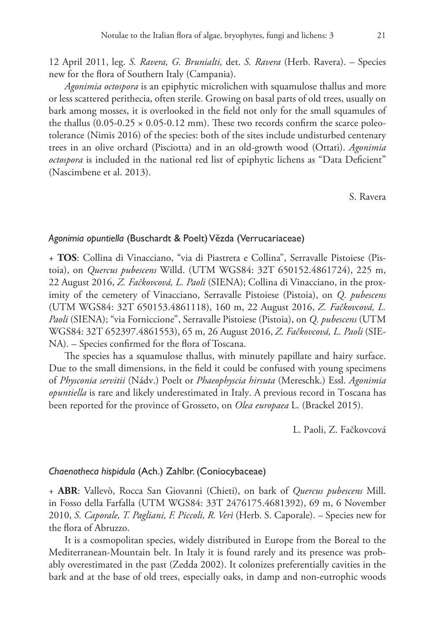12 April 2011, leg. *S. Ravera, G. Brunialti,* det. *S. Ravera* (Herb. Ravera). – Species new for the flora of Southern Italy (Campania).

*Agonimia octospora* is an epiphytic microlichen with squamulose thallus and more or less scattered perithecia, often sterile. Growing on basal parts of old trees, usually on bark among mosses, it is overlooked in the field not only for the small squamules of the thallus  $(0.05-0.25 \times 0.05-0.12 \text{ mm})$ . These two records confirm the scarce poleotolerance (Nimis 2016) of the species: both of the sites include undisturbed centenary trees in an olive orchard (Pisciotta) and in an old-growth wood (Ottati). *Agonimia octospora* is included in the national red list of epiphytic lichens as "Data Deficient" (Nascimbene et al. 2013).

S. Ravera

# *Agonimia opuntiella* (Buschardt & Poelt) Vězda (Verrucariaceae)

+ **TOS**: Collina di Vinacciano, "via di Piastreta e Collina", Serravalle Pistoiese (Pistoia), on *Quercus pubescens* Willd. (UTM WGS84: 32T 650152.4861724), 225 m, 22 August 2016, *Z. Fačkovcová, L. Paoli* (SIENA); Collina di Vinacciano, in the proximity of the cemetery of Vinacciano, Serravalle Pistoiese (Pistoia), on *Q*. *pubescens* (UTM WGS84: 32T 650153.4861118), 160 m, 22 August 2016, *Z. Fačkovcová, L. Paoli* (SIENA); "via Forniccione", Serravalle Pistoiese (Pistoia), on *Q*. *pubescens* (UTM WGS84: 32T 652397.4861553), 65 m, 26 August 2016, *Z. Fačkovcová, L. Paoli* (SIE-NA). – Species confirmed for the flora of Toscana.

The species has a squamulose thallus, with minutely papillate and hairy surface. Due to the small dimensions, in the field it could be confused with young specimens of *Physconia servitii* (Nádv.) Poelt or *Phaeophyscia hirsuta* (Mereschk.) Essl. *Agonimia opuntiella* is rare and likely underestimated in Italy. A previous record in Toscana has been reported for the province of Grosseto, on *Olea europaea* L. (Brackel 2015).

L. Paoli, Z. Fačkovcová

# *Chaenotheca hispidula* (Ach.) Zahlbr. (Coniocybaceae)

+ **ABR**: Vallevò, Rocca San Giovanni (Chieti), on bark of *Quercus pubescens* Mill. in Fosso della Farfalla (UTM WGS84: 33T 2476175.4681392), 69 m, 6 November 2010, *S. Caporale, T. Pagliani, F. Piccoli, R. Verì* (Herb. S. Caporale). – Species new for the flora of Abruzzo.

It is a cosmopolitan species, widely distributed in Europe from the Boreal to the Mediterranean-Mountain belt. In Italy it is found rarely and its presence was probably overestimated in the past (Zedda 2002). It colonizes preferentially cavities in the bark and at the base of old trees, especially oaks, in damp and non-eutrophic woods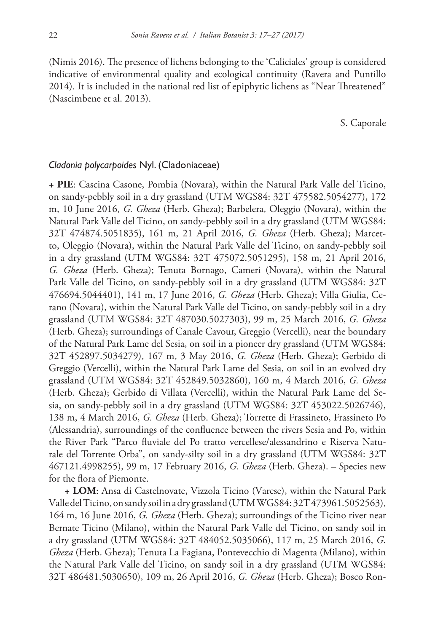(Nimis 2016). The presence of lichens belonging to the 'Caliciales' group is considered indicative of environmental quality and ecological continuity (Ravera and Puntillo 2014). It is included in the national red list of epiphytic lichens as "Near Threatened" (Nascimbene et al. 2013).

S. Caporale

# *Cladonia polycarpoides* Nyl. (Cladoniaceae)

**+ PIE**: Cascina Casone, Pombia (Novara), within the Natural Park Valle del Ticino, on sandy-pebbly soil in a dry grassland (UTM WGS84: 32T 475582.5054277), 172 m, 10 June 2016, *G. Gheza* (Herb. Gheza); Barbelera, Oleggio (Novara), within the Natural Park Valle del Ticino, on sandy-pebbly soil in a dry grassland (UTM WGS84: 32T 474874.5051835), 161 m, 21 April 2016, *G. Gheza* (Herb. Gheza); Marcetto, Oleggio (Novara), within the Natural Park Valle del Ticino, on sandy-pebbly soil in a dry grassland (UTM WGS84: 32T 475072.5051295), 158 m, 21 April 2016, *G. Gheza* (Herb. Gheza); Tenuta Bornago, Cameri (Novara), within the Natural Park Valle del Ticino, on sandy-pebbly soil in a dry grassland (UTM WGS84: 32T 476694.5044401), 141 m, 17 June 2016, *G. Gheza* (Herb. Gheza); Villa Giulia, Cerano (Novara), within the Natural Park Valle del Ticino, on sandy-pebbly soil in a dry grassland (UTM WGS84: 32T 487030.5027303), 99 m, 25 March 2016, *G. Gheza*  (Herb. Gheza); surroundings of Canale Cavour, Greggio (Vercelli), near the boundary of the Natural Park Lame del Sesia, on soil in a pioneer dry grassland (UTM WGS84: 32T 452897.5034279), 167 m, 3 May 2016, *G. Gheza* (Herb. Gheza); Gerbido di Greggio (Vercelli), within the Natural Park Lame del Sesia, on soil in an evolved dry grassland (UTM WGS84: 32T 452849.5032860), 160 m, 4 March 2016, *G. Gheza* (Herb. Gheza); Gerbido di Villata (Vercelli), within the Natural Park Lame del Sesia, on sandy-pebbly soil in a dry grassland (UTM WGS84: 32T 453022.5026746), 138 m, 4 March 2016, *G. Gheza* (Herb. Gheza); Torrette di Frassineto, Frassineto Po (Alessandria), surroundings of the confluence between the rivers Sesia and Po, within the River Park "Parco fluviale del Po tratto vercellese/alessandrino e Riserva Naturale del Torrente Orba", on sandy-silty soil in a dry grassland (UTM WGS84: 32T 467121.4998255), 99 m, 17 February 2016, *G. Gheza* (Herb. Gheza). – Species new for the flora of Piemonte.

**+ LOM**: Ansa di Castelnovate, Vizzola Ticino (Varese), within the Natural Park Valle del Ticino, on sandy soil in a dry grassland (UTM WGS84: 32T 473961.5052563), 164 m, 16 June 2016, *G. Gheza* (Herb. Gheza); surroundings of the Ticino river near Bernate Ticino (Milano), within the Natural Park Valle del Ticino, on sandy soil in a dry grassland (UTM WGS84: 32T 484052.5035066), 117 m, 25 March 2016, *G. Gheza* (Herb. Gheza); Tenuta La Fagiana, Pontevecchio di Magenta (Milano), within the Natural Park Valle del Ticino, on sandy soil in a dry grassland (UTM WGS84: 32T 486481.5030650), 109 m, 26 April 2016, *G. Gheza* (Herb. Gheza); Bosco Ron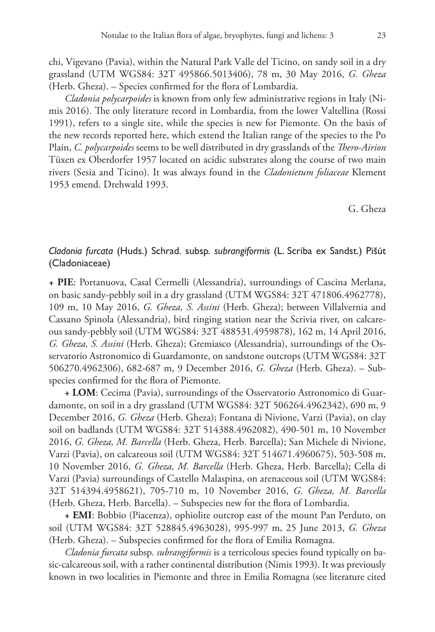chi, Vigevano (Pavia), within the Natural Park Valle del Ticino, on sandy soil in a dry grassland (UTM WGS84: 32T 495866.5013406), 78 m, 30 May 2016, *G. Gheza*  (Herb. Gheza). – Species confirmed for the flora of Lombardia.

*Cladonia polycarpoides* is known from only few administrative regions in Italy (Nimis 2016). The only literature record in Lombardia, from the lower Valtellina (Rossi 1991), refers to a single site, while the species is new for Piemonte. On the basis of the new records reported here, which extend the Italian range of the species to the Po Plain, *C. polycarpoides* seems to be well distributed in dry grasslands of the *Thero-Airion* Tüxen ex Oberdorfer 1957 located on acidic substrates along the course of two main rivers (Sesia and Ticino). It was always found in the *Cladonietum foliaceae* Klement 1953 emend. Drehwald 1993.

G. Gheza

# *Cladonia furcata* (Huds.) Schrad. subsp. *subrangiformis* (L. Scriba ex Sandst.) Pišút (Cladoniaceae)

**+ PIE**: Portanuova, Casal Cermelli (Alessandria), surroundings of Cascina Merlana, on basic sandy-pebbly soil in a dry grassland (UTM WGS84: 32T 471806.4962778), 109 m, 10 May 2016, *G. Gheza, S. Assini* (Herb. Gheza); between Villalvernia and Cassano Spinola (Alessandria), bird ringing station near the Scrivia river, on calcareous sandy-pebbly soil (UTM WGS84: 32T 488531.4959878), 162 m, 14 April 2016, *G. Gheza, S. Assini* (Herb. Gheza); Gremiasco (Alessandria), surroundings of the Osservatorio Astronomico di Guardamonte, on sandstone outcrops (UTM WGS84: 32T 506270.4962306), 682-687 m, 9 December 2016, *G. Gheza* (Herb. Gheza). – Subspecies confirmed for the flora of Piemonte.

**+ LOM**: Cecima (Pavia), surroundings of the Osservatorio Astronomico di Guardamonte, on soil in a dry grassland (UTM WGS84: 32T 506264.4962342), 690 m, 9 December 2016, *G. Gheza* (Herb. Gheza); Fontana di Nivione, Varzi (Pavia), on clay soil on badlands (UTM WGS84: 32T 514388.4962082), 490-501 m, 10 November 2016, *G. Gheza, M. Barcella* (Herb. Gheza, Herb. Barcella); San Michele di Nivione, Varzi (Pavia), on calcareous soil (UTM WGS84: 32T 514671.4960675), 503-508 m, 10 November 2016, *G. Gheza, M. Barcella* (Herb. Gheza, Herb. Barcella); Cella di Varzi (Pavia) surroundings of Castello Malaspina, on arenaceous soil (UTM WGS84: 32T 514394.4958621), 705-710 m, 10 November 2016, *G. Gheza, M. Barcella* (Herb. Gheza, Herb. Barcella). – Subspecies new for the flora of Lombardia.

**+ EMI**: Bobbio (Piacenza), ophiolite outcrop east of the mount Pan Perduto, on soil (UTM WGS84: 32T 528845.4963028), 995-997 m, 25 June 2013, *G. Gheza* (Herb. Gheza). – Subspecies confirmed for the flora of Emilia Romagna.

*Cladonia furcata* subsp. *subrangiformis* is a terricolous species found typically on basic-calcareous soil, with a rather continental distribution (Nimis 1993). It was previously known in two localities in Piemonte and three in Emilia Romagna (see literature cited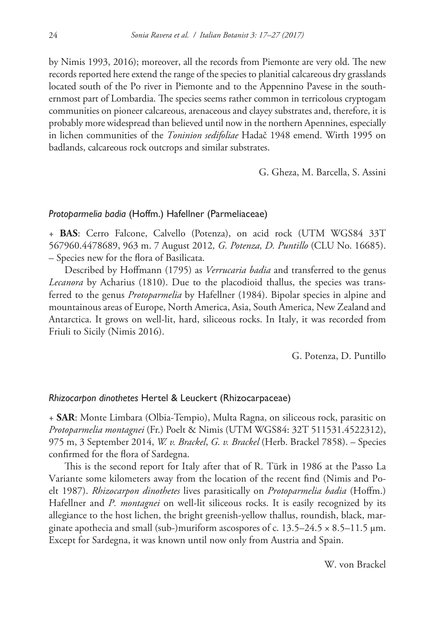by Nimis 1993, 2016); moreover, all the records from Piemonte are very old. The new records reported here extend the range of the species to planitial calcareous dry grasslands located south of the Po river in Piemonte and to the Appennino Pavese in the southernmost part of Lombardia. The species seems rather common in terricolous cryptogam communities on pioneer calcareous, arenaceous and clayey substrates and, therefore, it is probably more widespread than believed until now in the northern Apennines, especially in lichen communities of the *Toninion sedifoliae* Hadač 1948 emend. Wirth 1995 on badlands, calcareous rock outcrops and similar substrates.

G. Gheza, M. Barcella, S. Assini

# *Protoparmelia badia* (Hoffm.) Hafellner (Parmeliaceae)

+ **BAS**: Cerro Falcone, Calvello (Potenza), on acid rock (UTM WGS84 33T 567960.4478689, 963 m. 7 August 2012*, G. Potenza, D. Puntillo* (CLU No. 16685). – Species new for the flora of Basilicata.

Described by Hoffmann (1795) as *Verrucaria badia* and transferred to the genus *Lecanora* by Acharius (1810). Due to the placodioid thallus, the species was transferred to the genus *Protoparmelia* by Hafellner (1984). Bipolar species in alpine and mountainous areas of Europe, North America, Asia, South America, New Zealand and Antarctica. It grows on well-lit, hard, siliceous rocks. In Italy, it was recorded from Friuli to Sicily (Nimis 2016).

G. Potenza, D. Puntillo

# *Rhizocarpon dinothetes* Hertel & Leuckert (Rhizocarpaceae)

+ **SAR**: Monte Limbara (Olbia-Tempio), Multa Ragna, on siliceous rock, parasitic on *Protoparmelia montagnei* (Fr.) Poelt & Nimis (UTM WGS84: 32T 511531.4522312), 975 m, 3 September 2014, *W. v. Brackel*, *G. v. Brackel* (Herb. Brackel 7858). – Species confirmed for the flora of Sardegna.

This is the second report for Italy after that of R. Türk in 1986 at the Passo La Variante some kilometers away from the location of the recent find (Nimis and Poelt 1987). *Rhizocarpon dinothetes* lives parasitically on *Protoparmelia badia* (Hoffm.) Hafellner and *P. montagnei* on well-lit siliceous rocks. It is easily recognized by its allegiance to the host lichen, the bright greenish-yellow thallus, roundish, black, marginate apothecia and small (sub-)muriform ascospores of c.  $13.5-24.5 \times 8.5-11.5 \mu m$ . Except for Sardegna, it was known until now only from Austria and Spain.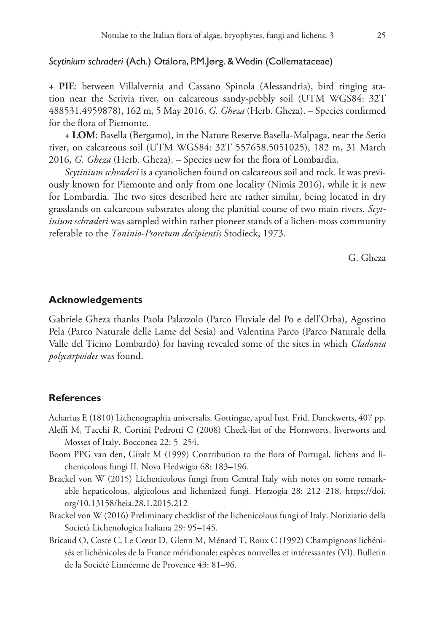# *Scytinium schraderi* (Ach.) Otálora, P.M.Jørg. & Wedin (Collemataceae)

**+ PIE**: between Villalvernia and Cassano Spinola (Alessandria), bird ringing station near the Scrivia river, on calcareous sandy-pebbly soil (UTM WGS84: 32T 488531.4959878), 162 m, 5 May 2016, *G. Gheza* (Herb. Gheza). – Species confirmed for the flora of Piemonte.

**+ LOM**: Basella (Bergamo), in the Nature Reserve Basella-Malpaga, near the Serio river, on calcareous soil (UTM WGS84: 32T 557658.5051025), 182 m, 31 March 2016, *G. Gheza* (Herb. Gheza). – Species new for the flora of Lombardia.

*Scytinium schraderi* is a cyanolichen found on calcareous soil and rock. It was previously known for Piemonte and only from one locality (Nimis 2016), while it is new for Lombardia. The two sites described here are rather similar, being located in dry grasslands on calcareous substrates along the planitial course of two main rivers. *Scytinium schraderi* was sampled within rather pioneer stands of a lichen-moss community referable to the *Toninio-Psoretum decipientis* Stodieck, 1973.

G. Gheza

# **Acknowledgements**

Gabriele Gheza thanks Paola Palazzolo (Parco Fluviale del Po e dell'Orba), Agostino Pela (Parco Naturale delle Lame del Sesia) and Valentina Parco (Parco Naturale della Valle del Ticino Lombardo) for having revealed some of the sites in which *Cladonia polycarpoides* was found.

# **References**

Acharius E (1810) Lichenographia universalis. Gottingae, apud Iust. Frid. Danckwerts, 407 pp.

- Aleffi M, Tacchi R, Cortini Pedrotti C (2008) Check-list of the Hornworts, liverworts and Mosses of Italy. Bocconea 22: 5–254.
- Boom PPG van den, Giralt M (1999) Contribution to the flora of Portugal, lichens and lichenicolous fungi II. Nova Hedwigia 68: 183–196.
- Brackel von W (2015) Lichenicolous fungi from Central Italy with notes on some remarkable hepaticolous, algicolous and lichenized fungi. Herzogia 28: 212–218. [https://doi.](https://doi.org/10.13158/heia.28.1.2015.212) [org/10.13158/heia.28.1.2015.212](https://doi.org/10.13158/heia.28.1.2015.212)
- Brackel von W (2016) Preliminary checklist of the lichenicolous fungi of Italy. Notiziario della Società Lichenologica Italiana 29: 95–145.
- Bricaud O, Coste C, Le Cœur D, Glenn M, Ménard T, Roux C (1992) Champignons lichénisés et lichénicoles de la France méridionale: espèces nouvelles et intéressantes (VI). Bulletin de la Société Linnéenne de Provence 43: 81–96.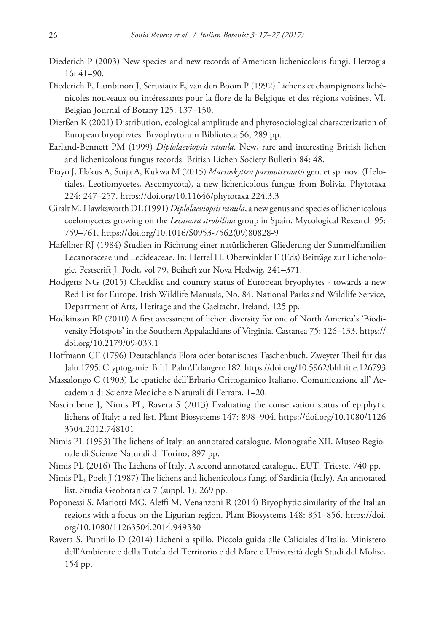- Diederich P (2003) New species and new records of American lichenicolous fungi. Herzogia 16: 41–90.
- Diederich P, Lambinon J, Sérusiaux E, van den Boom P (1992) Lichens et champignons lichénicoles nouveaux ou intéressants pour la flore de la Belgique et des régions voisines. VI. Belgian Journal of Botany 125: 137–150.
- Dierßen K (2001) Distribution, ecological amplitude and phytosociological characterization of European bryophytes. Bryophytorum Biblioteca 56, 289 pp.
- Earland-Bennett PM (1999) *Diplolaeviopsis ranula*. New, rare and interesting British lichen and lichenicolous fungus records. British Lichen Society Bulletin 84: 48.
- Etayo J, Flakus A, Suija A, Kukwa M (2015) *Macroskyttea parmotrematis* gen. et sp. nov. (Helotiales, Leotiomycetes, Ascomycota), a new lichenicolous fungus from Bolivia. Phytotaxa 224: 247–257.<https://doi.org/10.11646/phytotaxa.224.3.3>
- Giralt M, Hawksworth DL (1991) *Diplolaeviopsis ranula*, a new genus and species of lichenicolous coelomycetes growing on the *Lecanora strobilina* group in Spain. Mycological Research 95: 759–761. [https://doi.org/10.1016/S0953-7562\(09\)80828-9](https://doi.org/10.1016/S0953-7562(09)80828-9)
- Hafellner RJ (1984) Studien in Richtung einer natürlicheren Gliederung der Sammelfamilien Lecanoraceae und Lecideaceae. In: Hertel H, Oberwinkler F (Eds) Beiträge zur Lichenologie. Festscrift J. Poelt, vol 79, Beiheft zur Nova Hedwig, 241–371.
- Hodgetts NG (2015) Checklist and country status of European bryophytes towards a new Red List for Europe. Irish Wildlife Manuals, No. 84. National Parks and Wildlife Service, Department of Arts, Heritage and the Gaeltacht. Ireland, 125 pp.
- Hodkinson BP (2010) A first assessment of lichen diversity for one of North America's 'Biodiversity Hotspots' in the Southern Appalachians of Virginia. Castanea 75: 126–133. [https://](https://doi.org/10.2179/09-033.1) [doi.org/10.2179/09-033.1](https://doi.org/10.2179/09-033.1)
- Hoffmann GF (1796) Deutschlands Flora oder botanisches Taschenbuch. Zweyter Theil für das Jahr 1795. Cryptogamie. B.I.I. Palm\Erlangen: 182.<https://doi.org/10.5962/bhl.title.126793>
- Massalongo C (1903) Le epatiche dell'Erbario Crittogamico Italiano. Comunicazione all' Accademia di Scienze Mediche e Naturali di Ferrara, 1–20.
- Nascimbene J, Nimis PL, Ravera S (2013) Evaluating the conservation status of epiphytic lichens of Italy: a red list. Plant Biosystems 147: 898–904. [https://doi.org/10.1080/1126](https://doi.org/10.1080/11263504.2012.748101) [3504.2012.748101](https://doi.org/10.1080/11263504.2012.748101)
- Nimis PL (1993) The lichens of Italy: an annotated catalogue. Monografie XII. Museo Regionale di Scienze Naturali di Torino, 897 pp.
- Nimis PL (2016) The Lichens of Italy. A second annotated catalogue. EUT. Trieste. 740 pp.
- Nimis PL, Poelt J (1987) The lichens and lichenicolous fungi of Sardinia (Italy). An annotated list. Studia Geobotanica 7 (suppl. 1), 269 pp.
- Poponessi S, Mariotti MG, Aleffi M, Venanzoni R (2014) Bryophytic similarity of the Italian regions with a focus on the Ligurian region. Plant Biosystems 148: 851–856. [https://doi.](https://doi.org/10.1080/11263504.2014.949330) [org/10.1080/11263504.2014.949330](https://doi.org/10.1080/11263504.2014.949330)
- Ravera S, Puntillo D (2014) Licheni a spillo. Piccola guida alle Caliciales d'Italia. Ministero dell'Ambiente e della Tutela del Territorio e del Mare e Università degli Studi del Molise, 154 pp.